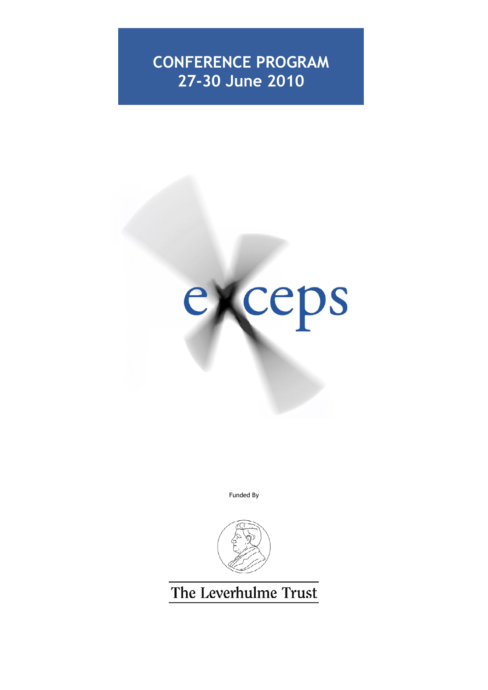# **CONFERENCE PROGRAM 27-30 June 2010**



Funded By



The Leverhulme Trust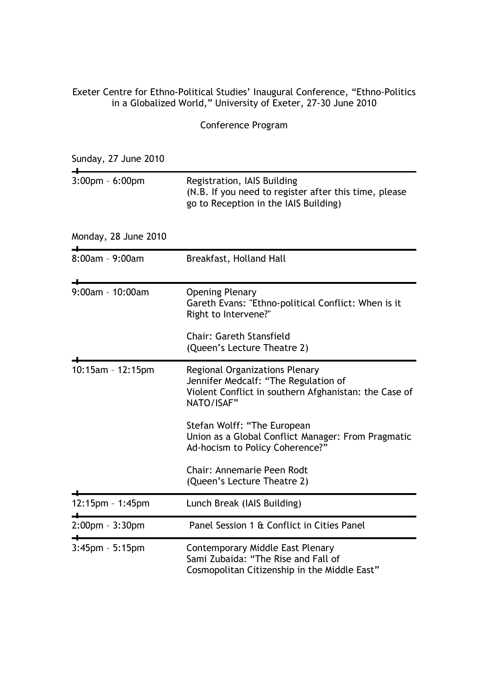# Exeter Centre for Ethno-Political Studies' Inaugural Conference, "Ethno-Politics in a Globalized World," University of Exeter, 27-30 June 2010

Conference Program

Sunday, 27 June 2010

| $3:00$ pm - $6:00$ pm | Registration, IAIS Building<br>(N.B. If you need to register after this time, please<br>go to Reception in the IAIS Building)                        |
|-----------------------|------------------------------------------------------------------------------------------------------------------------------------------------------|
| Monday, 28 June 2010  |                                                                                                                                                      |
| 8:00am - 9:00am       | Breakfast, Holland Hall                                                                                                                              |
| 9:00am - 10:00am      | <b>Opening Plenary</b><br>Gareth Evans: "Ethno-political Conflict: When is it<br>Right to Intervene?"                                                |
|                       | <b>Chair: Gareth Stansfield</b><br>(Queen's Lecture Theatre 2)                                                                                       |
| 10:15am - 12:15pm     | <b>Regional Organizations Plenary</b><br>Jennifer Medcalf: "The Regulation of<br>Violent Conflict in southern Afghanistan: the Case of<br>NATO/ISAF" |
|                       | Stefan Wolff: "The European<br>Union as a Global Conflict Manager: From Pragmatic<br>Ad-hocism to Policy Coherence?"                                 |
|                       | <b>Chair: Annemarie Peen Rodt</b><br>(Queen's Lecture Theatre 2)                                                                                     |
| 12:15pm - 1:45pm      | Lunch Break (IAIS Building)                                                                                                                          |
| 2:00pm - 3:30pm       | Panel Session 1 & Conflict in Cities Panel                                                                                                           |
| $3:45$ pm - $5:15$ pm | <b>Contemporary Middle East Plenary</b><br>Sami Zubaida: "The Rise and Fall of<br>Cosmopolitan Citizenship in the Middle East"                       |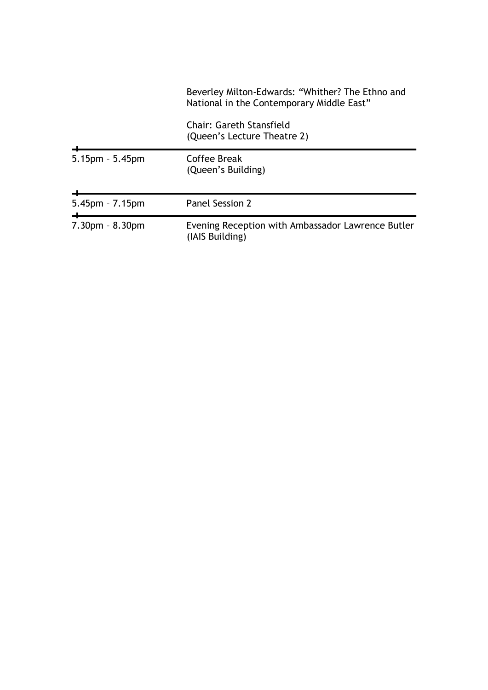|                       | Beverley Milton-Edwards: "Whither? The Ethno and<br>National in the Contemporary Middle East" |
|-----------------------|-----------------------------------------------------------------------------------------------|
|                       | Chair: Gareth Stansfield<br>(Queen's Lecture Theatre 2)                                       |
| $5.15$ pm - $5.45$ pm | Coffee Break<br>(Queen's Building)                                                            |
| $5.45$ pm - $7.15$ pm | Panel Session 2                                                                               |
| $7.30pm - 8.30pm$     | Evening Reception with Ambassador Lawrence Butler<br>(IAIS Building)                          |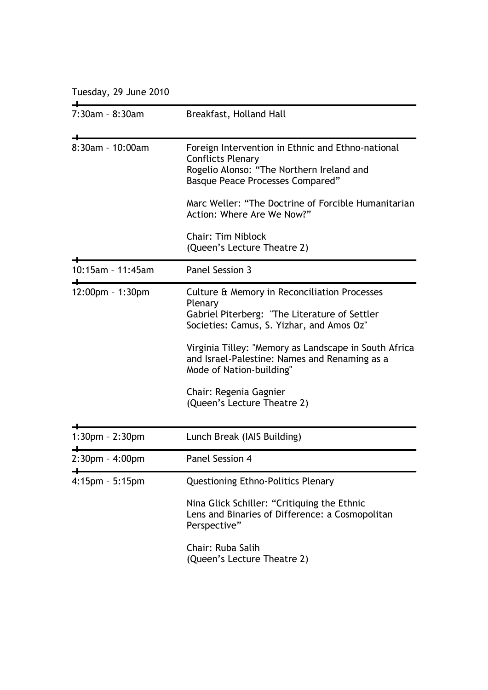Tuesday, 29 June 2010

| 7:30am - 8:30am       | Breakfast, Holland Hall                                                                                                                                               |
|-----------------------|-----------------------------------------------------------------------------------------------------------------------------------------------------------------------|
| 8:30am - 10:00am      | Foreign Intervention in Ethnic and Ethno-national<br><b>Conflicts Plenary</b><br>Rogelio Alonso: "The Northern Ireland and<br><b>Basque Peace Processes Compared"</b> |
|                       | Marc Weller: "The Doctrine of Forcible Humanitarian<br>Action: Where Are We Now?"                                                                                     |
|                       | <b>Chair: Tim Niblock</b><br>(Queen's Lecture Theatre 2)                                                                                                              |
| 10:15am - 11:45am     | Panel Session 3                                                                                                                                                       |
| $12:00$ pm - 1:30pm   | Culture & Memory in Reconciliation Processes<br>Plenary<br>Gabriel Piterberg: "The Literature of Settler<br>Societies: Camus, S. Yizhar, and Amos Oz"                 |
|                       | Virginia Tilley: "Memory as Landscape in South Africa<br>and Israel-Palestine: Names and Renaming as a<br>Mode of Nation-building"                                    |
|                       | Chair: Regenia Gagnier<br>(Queen's Lecture Theatre 2)                                                                                                                 |
| 1:30pm - 2:30pm       | Lunch Break (IAIS Building)                                                                                                                                           |
| $2:30$ pm - $4:00$ pm | Panel Session 4                                                                                                                                                       |
| 4:15pm - 5:15pm       | <b>Questioning Ethno-Politics Plenary</b>                                                                                                                             |
|                       | Nina Glick Schiller: "Critiquing the Ethnic<br>Lens and Binaries of Difference: a Cosmopolitan<br>Perspective"                                                        |
|                       | Chair: Ruba Salih<br>(Queen's Lecture Theatre 2)                                                                                                                      |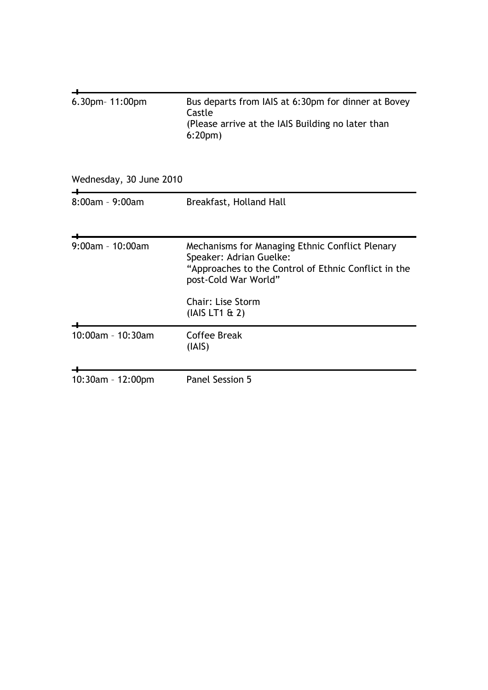| 6.30pm- 11:00pm         | Bus departs from IAIS at 6:30pm for dinner at Bovey<br>Castle<br>(Please arrive at the IAIS Building no later than<br>6:20 <sub>pm</sub>                                                                 |
|-------------------------|----------------------------------------------------------------------------------------------------------------------------------------------------------------------------------------------------------|
| Wednesday, 30 June 2010 |                                                                                                                                                                                                          |
| $8:00$ am - 9:00am      | Breakfast, Holland Hall                                                                                                                                                                                  |
| 9:00am - 10:00am        | Mechanisms for Managing Ethnic Conflict Plenary<br>Speaker: Adrian Guelke:<br>"Approaches to the Control of Ethnic Conflict in the<br>post-Cold War World"<br><b>Chair: Lise Storm</b><br>(IAIS LT1 & 2) |
|                         |                                                                                                                                                                                                          |
| 10:00am - 10:30am       | <b>Coffee Break</b><br>(IAIS)                                                                                                                                                                            |
| 10:30am - 12:00pm       | Panel Session 5                                                                                                                                                                                          |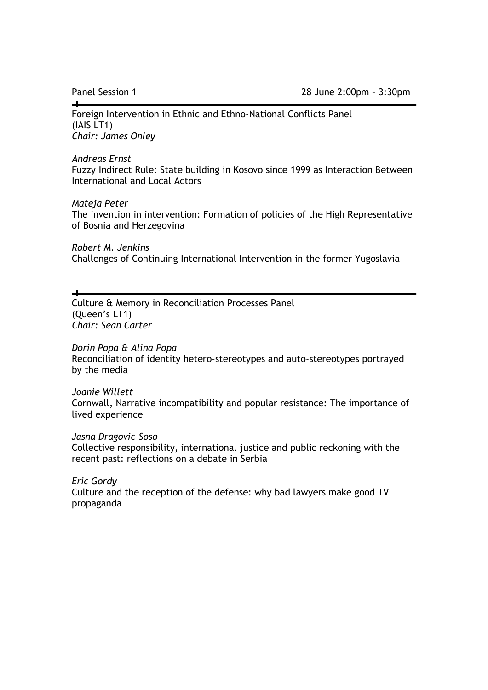$\overline{\phantom{a}}$ 

Foreign Intervention in Ethnic and Ethno-National Conflicts Panel (IAIS LT1) *Chair: James Onley* 

#### *Andreas Ernst*

Fuzzy Indirect Rule: State building in Kosovo since 1999 as Interaction Between International and Local Actors

### *Mateja Peter*

The invention in intervention: Formation of policies of the High Representative of Bosnia and Herzegovina

*Robert M. Jenkins*  Challenges of Continuing International Intervention in the former Yugoslavia

Culture & Memory in Reconciliation Processes Panel (Queen's LT1) *Chair: Sean Carter* 

# *Dorin Popa & Alina Popa*

Reconciliation of identity hetero-stereotypes and auto-stereotypes portrayed by the media

### *Joanie Willett*

Cornwall, Narrative incompatibility and popular resistance: The importance of lived experience

### *Jasna Dragovic-Soso*

Collective responsibility, international justice and public reckoning with the recent past: reflections on a debate in Serbia

# *Eric Gordy*

Culture and the reception of the defense: why bad lawyers make good TV propaganda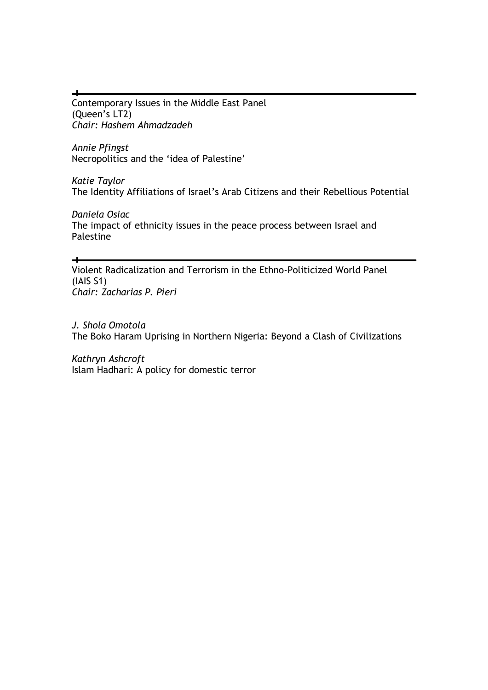Contemporary Issues in the Middle East Panel (Queen's LT2) *Chair: Hashem Ahmadzadeh* 

*Annie Pfingst*  Necropolitics and the 'idea of Palestine'

 $\rightarrow$ 

 $\rightarrow$ 

*Katie Taylor*  The Identity Affiliations of Israel's Arab Citizens and their Rebellious Potential

*Daniela Osiac*  The impact of ethnicity issues in the peace process between Israel and Palestine

Violent Radicalization and Terrorism in the Ethno-Politicized World Panel (IAIS S1) *Chair: Zacharias P. Pieri* 

*J. Shola Omotola*  The Boko Haram Uprising in Northern Nigeria: Beyond a Clash of Civilizations

*Kathryn Ashcroft*  Islam Hadhari: A policy for domestic terror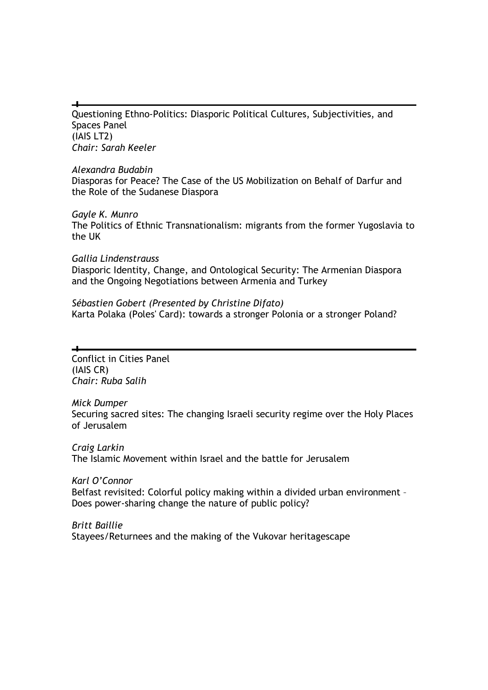Questioning Ethno-Politics: Diasporic Political Cultures, Subjectivities, and Spaces Panel (IAIS LT2) *Chair: Sarah Keeler* 

# *Alexandra Budabin*

Diasporas for Peace? The Case of the US Mobilization on Behalf of Darfur and the Role of the Sudanese Diaspora

# *Gayle K. Munro*

The Politics of Ethnic Transnationalism: migrants from the former Yugoslavia to the UK

# *Gallia Lindenstrauss*

Diasporic Identity, Change, and Ontological Security: The Armenian Diaspora and the Ongoing Negotiations between Armenia and Turkey

# *Sébastien Gobert (Presented by Christine Difato)*  Karta Polaka (Poles' Card): towards a stronger Polonia or a stronger Poland?

Conflict in Cities Panel (IAIS CR) *Chair: Ruba Salih* 

# *Mick Dumper*

Securing sacred sites: The changing Israeli security regime over the Holy Places of Jerusalem

# *Craig Larkin*  The Islamic Movement within Israel and the battle for Jerusalem

*Karl O'Connor*  Belfast revisited: Colorful policy making within a divided urban environment – Does power-sharing change the nature of public policy?

*Britt Baillie*  Stayees/Returnees and the making of the Vukovar heritagescape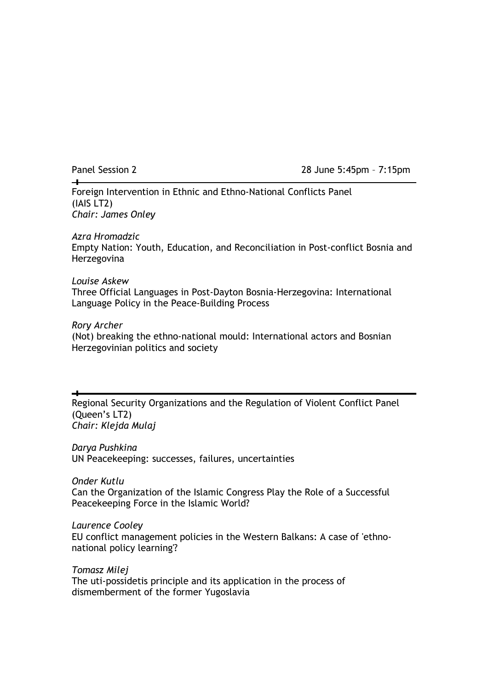$\Box$ 

Panel Session 2 28 June 5:45pm – 7:15pm

Foreign Intervention in Ethnic and Ethno-National Conflicts Panel (IAIS LT2) *Chair: James Onley* 

# *Azra Hromadzic*

Empty Nation: Youth, Education, and Reconciliation in Post-conflict Bosnia and Herzegovina

# *Louise Askew*

Three Official Languages in Post-Dayton Bosnia-Herzegovina: International Language Policy in the Peace-Building Process

# *Rory Archer*

(Not) breaking the ethno-national mould: International actors and Bosnian Herzegovinian politics and society

Regional Security Organizations and the Regulation of Violent Conflict Panel (Queen's LT2) *Chair: Klejda Mulaj* 

*Darya Pushkina*  UN Peacekeeping: successes, failures, uncertainties

*Onder Kutlu*  Can the Organization of the Islamic Congress Play the Role of a Successful Peacekeeping Force in the Islamic World?

*Laurence Cooley*  EU conflict management policies in the Western Balkans: A case of 'ethnonational policy learning'?

*Tomasz Milej*  The uti-possidetis principle and its application in the process of dismemberment of the former Yugoslavia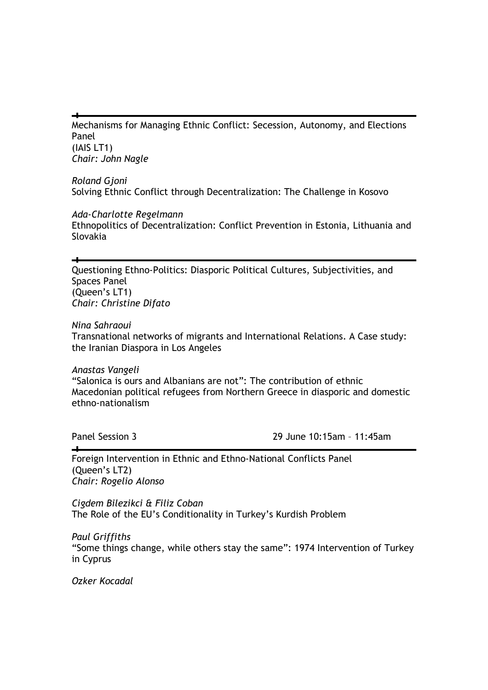Mechanisms for Managing Ethnic Conflict: Secession, Autonomy, and Elections Panel (IAIS LT1) *Chair: John Nagle* 

*Roland Gjoni*  Solving Ethnic Conflict through Decentralization: The Challenge in Kosovo

*Ada-Charlotte Regelmann*  Ethnopolitics of Decentralization: Conflict Prevention in Estonia, Lithuania and Slovakia

Questioning Ethno-Politics: Diasporic Political Cultures, Subjectivities, and Spaces Panel (Queen's LT1) *Chair: Christine Difato* 

*Nina Sahraoui* 

 $\overline{\phantom{a}}$ 

Transnational networks of migrants and International Relations. A Case study: the Iranian Diaspora in Los Angeles

*Anastas Vangeli*  "Salonica is ours and Albanians are not": The contribution of ethnic Macedonian political refugees from Northern Greece in diasporic and domestic ethno-nationalism

 $\overline{\phantom{a}}$ 

Panel Session 3 29 June 10:15am – 11:45am

Foreign Intervention in Ethnic and Ethno-National Conflicts Panel (Queen's LT2) *Chair: Rogelio Alonso* 

*Cigdem Bilezikci & Filiz Coban*  The Role of the EU's Conditionality in Turkey's Kurdish Problem

*Paul Griffiths*  "Some things change, while others stay the same": 1974 Intervention of Turkey in Cyprus

*Ozker Kocadal*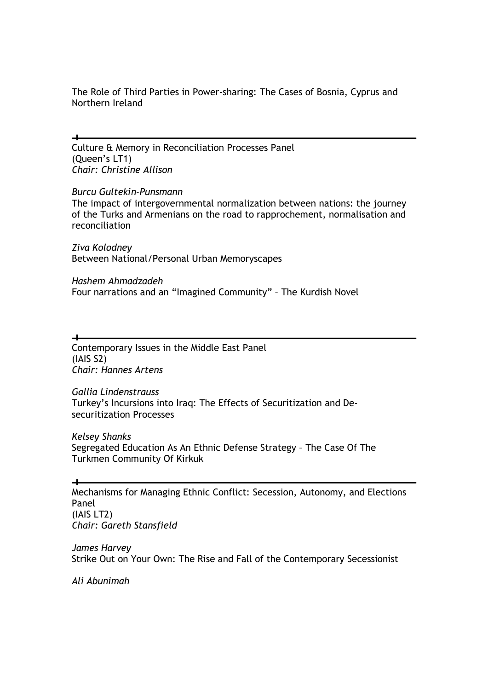The Role of Third Parties in Power-sharing: The Cases of Bosnia, Cyprus and Northern Ireland

Culture & Memory in Reconciliation Processes Panel (Queen's LT1) *Chair: Christine Allison* 

# *Burcu Gultekin-Punsmann*

 $\overline{\phantom{a}}$ 

الہ

The impact of intergovernmental normalization between nations: the journey of the Turks and Armenians on the road to rapprochement, normalisation and reconciliation

*Ziva Kolodney*  Between National/Personal Urban Memoryscapes

*Hashem Ahmadzadeh*  Four narrations and an "Imagined Community" – The Kurdish Novel

Contemporary Issues in the Middle East Panel (IAIS S2) *Chair: Hannes Artens* 

*Gallia Lindenstrauss*  Turkey's Incursions into Iraq: The Effects of Securitization and Desecuritization Processes

*Kelsey Shanks*  Segregated Education As An Ethnic Defense Strategy – The Case Of The Turkmen Community Of Kirkuk

Mechanisms for Managing Ethnic Conflict: Secession, Autonomy, and Elections Panel (IAIS LT2) *Chair: Gareth Stansfield* 

*James Harvey*  Strike Out on Your Own: The Rise and Fall of the Contemporary Secessionist

*Ali Abunimah*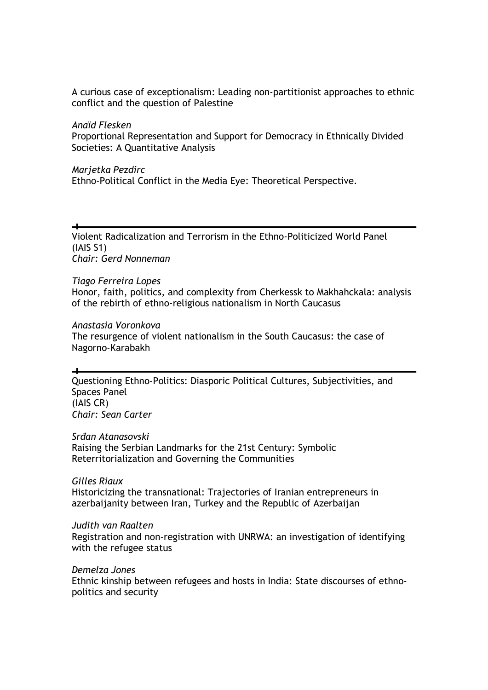A curious case of exceptionalism: Leading non-partitionist approaches to ethnic conflict and the question of Palestine

*Anaїd Flesken*  Proportional Representation and Support for Democracy in Ethnically Divided Societies: A Quantitative Analysis

*Marjetka Pezdirc*  Ethno-Political Conflict in the Media Eye: Theoretical Perspective.

Violent Radicalization and Terrorism in the Ethno-Politicized World Panel (IAIS S1) *Chair: Gerd Nonneman* 

### *Tiago Ferreira Lopes*

ᆛ

Honor, faith, politics, and complexity from Cherkessk to Makhahckala: analysis of the rebirth of ethno-religious nationalism in North Caucasus

#### *Anastasia Voronkova*

The resurgence of violent nationalism in the South Caucasus: the case of Nagorno-Karabakh

Questioning Ethno-Politics: Diasporic Political Cultures, Subjectivities, and Spaces Panel (IAIS CR) *Chair: Sean Carter* 

#### *Srñan Atanasovski*

Raising the Serbian Landmarks for the 21st Century: Symbolic Reterritorialization and Governing the Communities

#### *Gilles Riaux*

Historicizing the transnational: Trajectories of Iranian entrepreneurs in azerbaijanity between Iran, Turkey and the Republic of Azerbaijan

#### *Judith van Raalten*

Registration and non-registration with UNRWA: an investigation of identifying with the refugee status

## *Demelza Jones*

Ethnic kinship between refugees and hosts in India: State discourses of ethnopolitics and security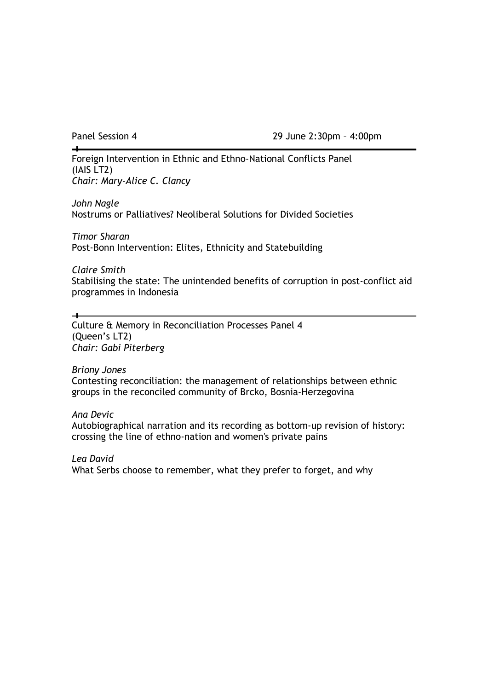$\overline{\phantom{a}}$ 

Panel Session 4 29 June 2:30pm - 4:00pm

Foreign Intervention in Ethnic and Ethno-National Conflicts Panel (IAIS LT2) *Chair: Mary-Alice C. Clancy* 

*John Nagle*  Nostrums or Palliatives? Neoliberal Solutions for Divided Societies

*Timor Sharan*  Post-Bonn Intervention: Elites, Ethnicity and Statebuilding

*Claire Smith* 

 $\overline{\phantom{a}}$ 

Stabilising the state: The unintended benefits of corruption in post-conflict aid programmes in Indonesia

Culture & Memory in Reconciliation Processes Panel 4 (Queen's LT2) *Chair: Gabi Piterberg* 

*Briony Jones*  Contesting reconciliation: the management of relationships between ethnic groups in the reconciled community of Brcko, Bosnia-Herzegovina

*Ana Devic* 

Autobiographical narration and its recording as bottom-up revision of history: crossing the line of ethno-nation and women's private pains

*Lea David*  What Serbs choose to remember, what they prefer to forget, and why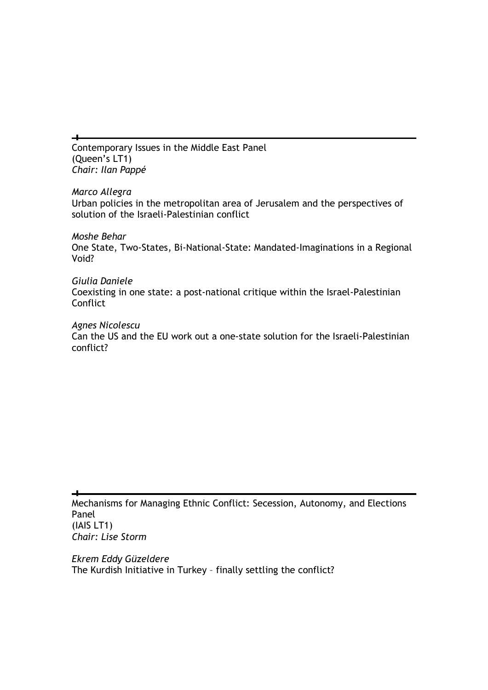Contemporary Issues in the Middle East Panel (Queen's LT1) *Chair: Ilan Pappé* 

 $\overline{\phantom{a}}$ 

*Marco Allegra*  Urban policies in the metropolitan area of Jerusalem and the perspectives of solution of the Israeli-Palestinian conflict

*Moshe Behar*  One State, Two-States, Bi-National-State: Mandated-Imaginations in a Regional Void?

*Giulia Daniele* Coexisting in one state: a post-national critique within the Israel-Palestinian **Conflict** 

*Agnes Nicolescu*  Can the US and the EU work out a one-state solution for the Israeli-Palestinian conflict?

Mechanisms for Managing Ethnic Conflict: Secession, Autonomy, and Elections Panel (IAIS LT1) *Chair: Lise Storm* 

*Ekrem Eddy Güzeldere*  The Kurdish Initiative in Turkey – finally settling the conflict?